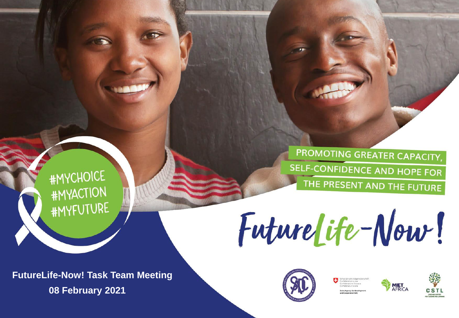PROMOTING GREATER CAPACITY, SELF-CONFIDENCE AND HOPE FOR THE PRESENT AND THE FUTURE

### **#MYCHOICE #MYACTION #MYFUTURE**

FutureLife-Now!







**FutureLife-Now! Task Team Meeting** 08 February 2021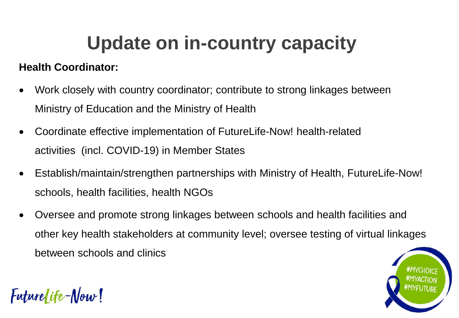# **Update on in-country capacity**

### **Health Coordinator:**

Futurelife-Now!

- Work closely with country coordinator; contribute to strong linkages between Ministry of Education and the Ministry of Health
- Coordinate effective implementation of FutureLife-Now! health-related activities (incl. COVID-19) in Member States
- Establish/maintain/strengthen partnerships with Ministry of Health, FutureLife-Now! schools, health facilities, health NGOs
- Oversee and promote strong linkages between schools and health facilities and other key health stakeholders at community level; oversee testing of virtual linkages between schools and clinics

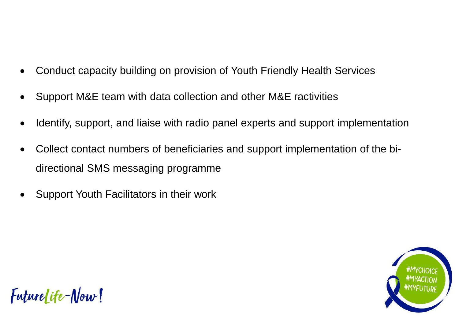- Conduct capacity building on provision of Youth Friendly Health Services
- Support M&E team with data collection and other M&E ractivities
- Identify, support, and liaise with radio panel experts and support implementation
- Collect contact numbers of beneficiaries and support implementation of the bidirectional SMS messaging programme
- Support Youth Facilitators in their work



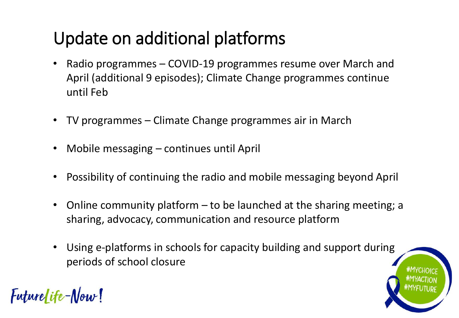### Update on additional platforms

- Radio programmes COVID-19 programmes resume over March and April (additional 9 episodes); Climate Change programmes continue until Feb
- TV programmes Climate Change programmes air in March
- Mobile messaging continues until April
- Possibility of continuing the radio and mobile messaging beyond April
- Online community platform  $-$  to be launched at the sharing meeting; a sharing, advocacy, communication and resource platform
- Using e-platforms in schools for capacity building and support during periods of school closure



Futurelife-Now!